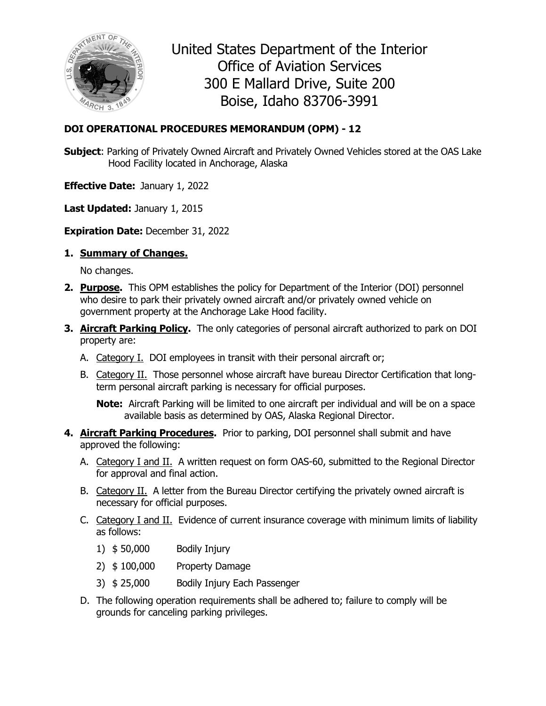

United States Department of the Interior Office of Aviation Services 300 E Mallard Drive, Suite 200 Boise, Idaho 83706-3991

## **DOI OPERATIONAL PROCEDURES MEMORANDUM (OPM) - 12**

**Subject**: Parking of Privately Owned Aircraft and Privately Owned Vehicles stored at the OAS Lake Hood Facility located in Anchorage, Alaska

**Effective Date:** January 1, 2022

**Last Updated:** January 1, 2015

**Expiration Date:** December 31, 2022

**1. Summary of Changes.** 

No changes.

- **2. Purpose.** This OPM establishes the policy for Department of the Interior (DOI) personnel who desire to park their privately owned aircraft and/or privately owned vehicle on government property at the Anchorage Lake Hood facility.
- **3. Aircraft Parking Policy.** The only categories of personal aircraft authorized to park on DOI property are:
	- A. Category I. DOI employees in transit with their personal aircraft or;
	- B. Category II. Those personnel whose aircraft have bureau Director Certification that longterm personal aircraft parking is necessary for official purposes.

**Note:** Aircraft Parking will be limited to one aircraft per individual and will be on a space available basis as determined by OAS, Alaska Regional Director.

- **4. Aircraft Parking Procedures.** Prior to parking, DOI personnel shall submit and have approved the following:
	- A. Category I and II. A written request on form OAS-60, submitted to the Regional Director for approval and final action.
	- B. Category II. A letter from the Bureau Director certifying the privately owned aircraft is necessary for official purposes.
	- C. Category I and II. Evidence of current insurance coverage with minimum limits of liability as follows:
		- 1) \$ 50,000 Bodily Injury
		- 2) \$ 100,000 Property Damage
		- 3) \$ 25,000 Bodily Injury Each Passenger
	- D. The following operation requirements shall be adhered to; failure to comply will be grounds for canceling parking privileges.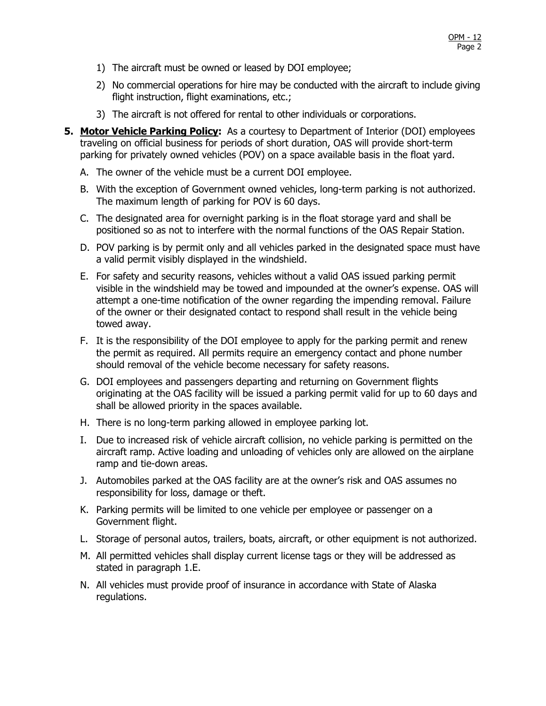- 1) The aircraft must be owned or leased by DOI employee;
- 2) No commercial operations for hire may be conducted with the aircraft to include giving flight instruction, flight examinations, etc.;
- 3) The aircraft is not offered for rental to other individuals or corporations.
- **5. Motor Vehicle Parking Policy:** As a courtesy to Department of Interior (DOI) employees traveling on official business for periods of short duration, OAS will provide short-term parking for privately owned vehicles (POV) on a space available basis in the float yard.
	- A. The owner of the vehicle must be a current DOI employee.
	- B. With the exception of Government owned vehicles, long-term parking is not authorized. The maximum length of parking for POV is 60 days.
	- C. The designated area for overnight parking is in the float storage yard and shall be positioned so as not to interfere with the normal functions of the OAS Repair Station.
	- D. POV parking is by permit only and all vehicles parked in the designated space must have a valid permit visibly displayed in the windshield.
	- E. For safety and security reasons, vehicles without a valid OAS issued parking permit visible in the windshield may be towed and impounded at the owner's expense. OAS will attempt a one-time notification of the owner regarding the impending removal. Failure of the owner or their designated contact to respond shall result in the vehicle being towed away.
	- F. It is the responsibility of the DOI employee to apply for the parking permit and renew the permit as required. All permits require an emergency contact and phone number should removal of the vehicle become necessary for safety reasons.
	- G. DOI employees and passengers departing and returning on Government flights originating at the OAS facility will be issued a parking permit valid for up to 60 days and shall be allowed priority in the spaces available.
	- H. There is no long-term parking allowed in employee parking lot.
	- I. Due to increased risk of vehicle aircraft collision, no vehicle parking is permitted on the aircraft ramp. Active loading and unloading of vehicles only are allowed on the airplane ramp and tie-down areas.
	- J. Automobiles parked at the OAS facility are at the owner's risk and OAS assumes no responsibility for loss, damage or theft.
	- K. Parking permits will be limited to one vehicle per employee or passenger on a Government flight.
	- L. Storage of personal autos, trailers, boats, aircraft, or other equipment is not authorized.
	- M. All permitted vehicles shall display current license tags or they will be addressed as stated in paragraph 1.E.
	- N. All vehicles must provide proof of insurance in accordance with State of Alaska regulations.